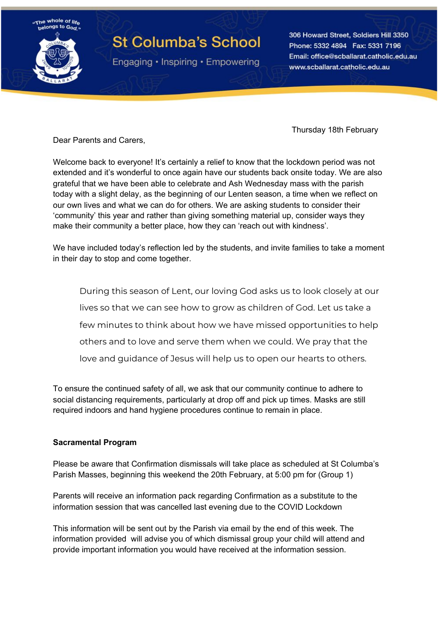

# **St Columba's School**

Engaging • Inspiring • Empowering

306 Howard Street, Soldiers Hill 3350 Phone: 5332 4894 Fax: 5331 7196 Email: office@scballarat.catholic.edu.au www.scballarat.catholic.edu.au

Thursday 18th February

Dear Parents and Carers,

Welcome back to everyone! It's certainly a relief to know that the lockdown period was not extended and it's wonderful to once again have our students back onsite today. We are also grateful that we have been able to celebrate and Ash Wednesday mass with the parish today with a slight delay, as the beginning of our Lenten season, a time when we reflect on our own lives and what we can do for others. We are asking students to consider their 'community' this year and rather than giving something material up, consider ways they make their community a better place, how they can 'reach out with kindness'.

We have included today's reflection led by the students, and invite families to take a moment in their day to stop and come together.

During this season of Lent, our loving God asks us to look closely at our lives so that we can see how to grow as children of God. Let us take a few minutes to think about how we have missed opportunities to help others and to love and serve them when we could. We pray that the love and guidance of Jesus will help us to open our hearts to others.

To ensure the continued safety of all, we ask that our community continue to adhere to social distancing requirements, particularly at drop off and pick up times. Masks are still required indoors and hand hygiene procedures continue to remain in place.

### **Sacramental Program**

Please be aware that Confirmation dismissals will take place as scheduled at St Columba's Parish Masses, beginning this weekend the 20th February, at 5:00 pm for (Group 1)

Parents will receive an information pack regarding Confirmation as a substitute to the information session that was cancelled last evening due to the COVID Lockdown

This information will be sent out by the Parish via email by the end of this week. The information provided will advise you of which dismissal group your child will attend and provide important information you would have received at the information session.